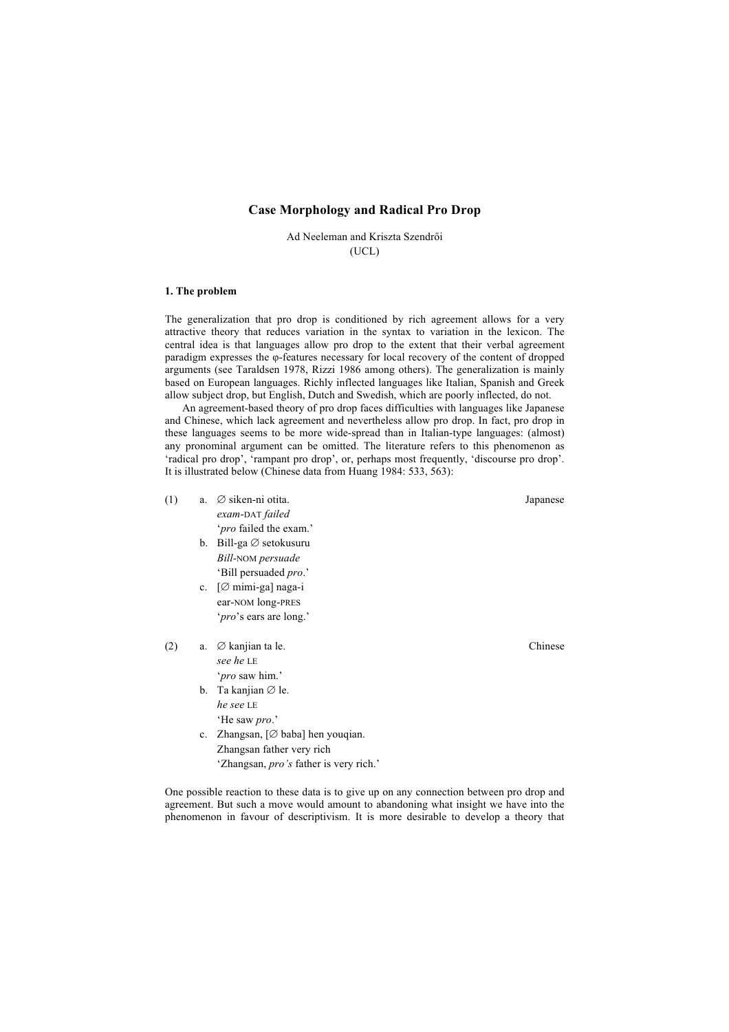# **Case Morphology and Radical Pro Drop**

Ad Neeleman and Kriszta Szendrői (UCL)

# **1. The problem**

The generalization that pro drop is conditioned by rich agreement allows for a very attractive theory that reduces variation in the syntax to variation in the lexicon. The central idea is that languages allow pro drop to the extent that their verbal agreement paradigm expresses the φ-features necessary for local recovery of the content of dropped arguments (see Taraldsen 1978, Rizzi 1986 among others). The generalization is mainly based on European languages. Richly inflected languages like Italian, Spanish and Greek allow subject drop, but English, Dutch and Swedish, which are poorly inflected, do not.

An agreement-based theory of pro drop faces difficulties with languages like Japanese and Chinese, which lack agreement and nevertheless allow pro drop. In fact, pro drop in these languages seems to be more wide-spread than in Italian-type languages: (almost) any pronominal argument can be omitted. The literature refers to this phenomenon as 'radical pro drop', 'rampant pro drop', or, perhaps most frequently, 'discourse pro drop'. It is illustrated below (Chinese data from Huang 1984: 533, 563):

| (1) | a.             | $\varnothing$ siken-ni otita.     | Japanese |
|-----|----------------|-----------------------------------|----------|
|     |                | exam-DAT failed                   |          |
|     |                | ' <i>pro</i> failed the exam.'    |          |
|     | $\mathbf{b}$ . | Bill-ga $\varnothing$ setokusuru  |          |
|     |                | Bill-NOM persuade                 |          |
|     |                | 'Bill persuaded <i>pro</i> .'     |          |
|     | $c_{\cdot}$    | $[\emptyset$ mimi-ga] naga-i      |          |
|     |                | ear-NOM long-PRES                 |          |
|     |                | ' <i>pro</i> 's ears are long.'   |          |
|     |                |                                   |          |
| (2) | a.             | $\varnothing$ kanjian ta le.      | Chinese  |
|     |                | see he LE                         |          |
|     |                | ' <i>pro</i> saw him.'            |          |
|     | b.             | Ta kanjian $\emptyset$ le.        |          |
|     |                | he see LE                         |          |
|     |                | 'He saw <i>pro</i> .'             |          |
|     | $c_{\cdot}$    | Zhangsan, $[Ø$ baba] hen youqian. |          |
|     |                |                                   |          |
|     |                | Zhangsan father very rich         |          |

One possible reaction to these data is to give up on any connection between pro drop and agreement. But such a move would amount to abandoning what insight we have into the phenomenon in favour of descriptivism. It is more desirable to develop a theory that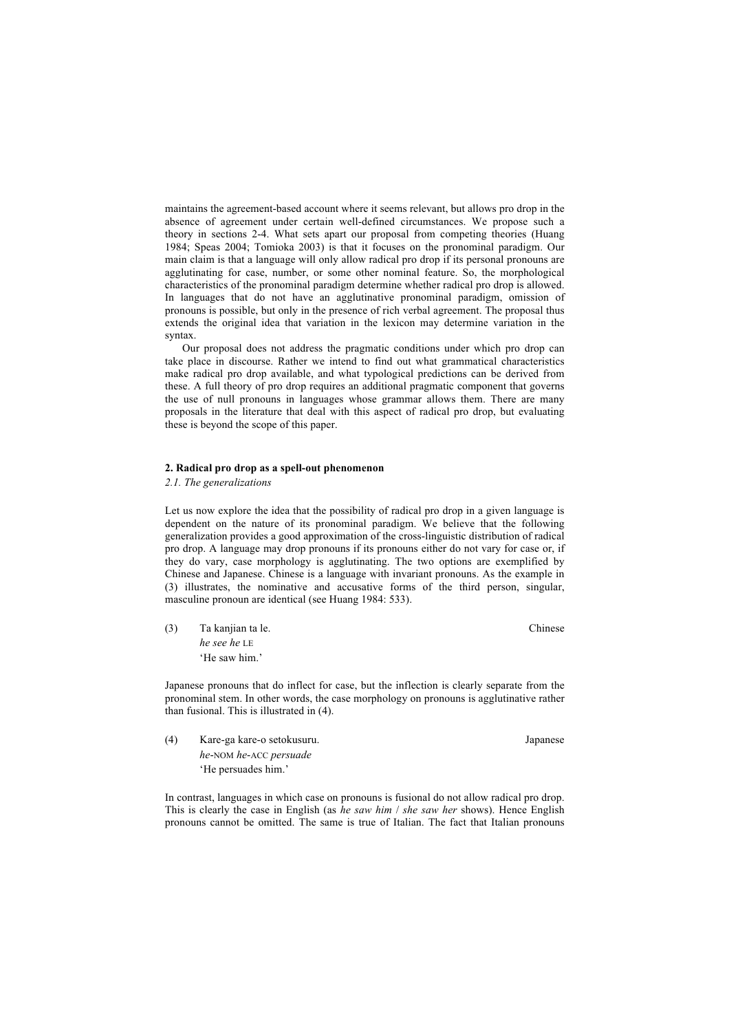maintains the agreement-based account where it seems relevant, but allows pro drop in the absence of agreement under certain well-defined circumstances. We propose such a theory in sections 2-4. What sets apart our proposal from competing theories (Huang 1984; Speas 2004; Tomioka 2003) is that it focuses on the pronominal paradigm. Our main claim is that a language will only allow radical pro drop if its personal pronouns are agglutinating for case, number, or some other nominal feature. So, the morphological characteristics of the pronominal paradigm determine whether radical pro drop is allowed. In languages that do not have an agglutinative pronominal paradigm, omission of pronouns is possible, but only in the presence of rich verbal agreement. The proposal thus extends the original idea that variation in the lexicon may determine variation in the syntax.

Our proposal does not address the pragmatic conditions under which pro drop can take place in discourse. Rather we intend to find out what grammatical characteristics make radical pro drop available, and what typological predictions can be derived from these. A full theory of pro drop requires an additional pragmatic component that governs the use of null pronouns in languages whose grammar allows them. There are many proposals in the literature that deal with this aspect of radical pro drop, but evaluating these is beyond the scope of this paper.

# **2. Radical pro drop as a spell-out phenomenon**

*2.1. The generalizations*

Let us now explore the idea that the possibility of radical pro drop in a given language is dependent on the nature of its pronominal paradigm. We believe that the following generalization provides a good approximation of the cross-linguistic distribution of radical pro drop. A language may drop pronouns if its pronouns either do not vary for case or, if they do vary, case morphology is agglutinating. The two options are exemplified by Chinese and Japanese. Chinese is a language with invariant pronouns. As the example in (3) illustrates, the nominative and accusative forms of the third person, singular, masculine pronoun are identical (see Huang 1984: 533).

(3) Ta kanjian ta le. Chinese *he see he* LE 'He saw him.'

Japanese pronouns that do inflect for case, but the inflection is clearly separate from the pronominal stem. In other words, the case morphology on pronouns is agglutinative rather than fusional. This is illustrated in (4).

(4) Kare-ga kare-o setokusuru. Japanese *he*-NOM *he*-ACC *persuade* 'He persuades him.'

In contrast, languages in which case on pronouns is fusional do not allow radical pro drop. This is clearly the case in English (as *he saw him* / *she saw her* shows). Hence English pronouns cannot be omitted. The same is true of Italian. The fact that Italian pronouns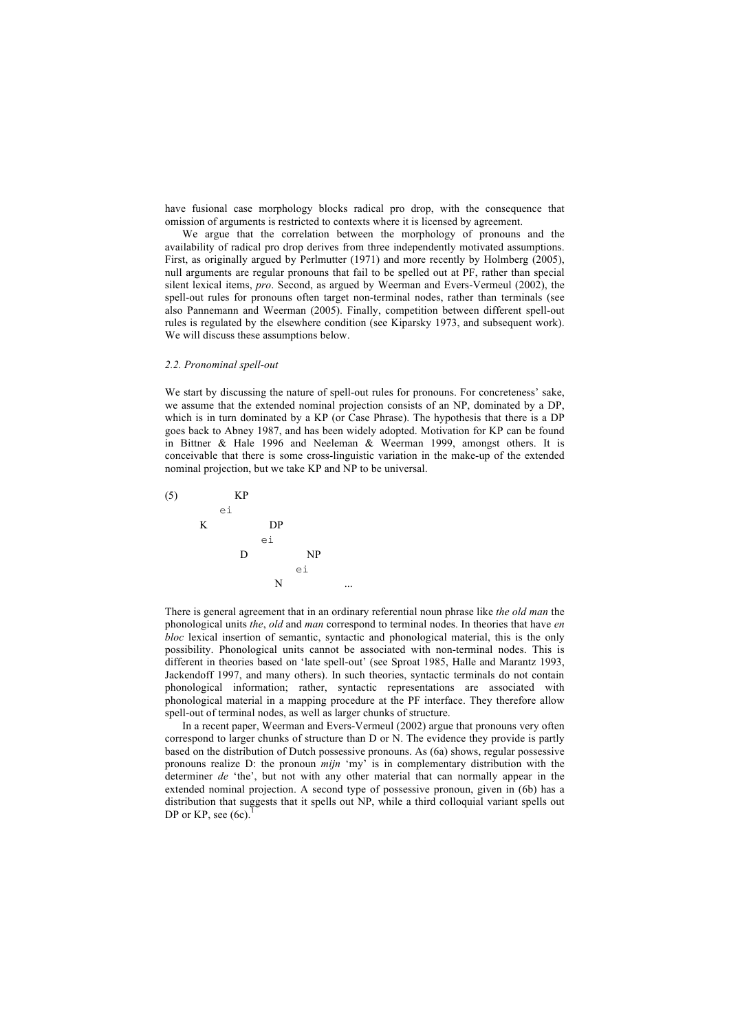have fusional case morphology blocks radical pro drop, with the consequence that omission of arguments is restricted to contexts where it is licensed by agreement.

We argue that the correlation between the morphology of pronouns and the availability of radical pro drop derives from three independently motivated assumptions. First, as originally argued by Perlmutter (1971) and more recently by Holmberg (2005), null arguments are regular pronouns that fail to be spelled out at PF, rather than special silent lexical items, *pro*. Second, as argued by Weerman and Evers-Vermeul (2002), the spell-out rules for pronouns often target non-terminal nodes, rather than terminals (see also Pannemann and Weerman (2005). Finally, competition between different spell-out rules is regulated by the elsewhere condition (see Kiparsky 1973, and subsequent work). We will discuss these assumptions below.

#### *2.2. Pronominal spell-out*

We start by discussing the nature of spell-out rules for pronouns. For concreteness' sake, we assume that the extended nominal projection consists of an NP, dominated by a DP, which is in turn dominated by a KP (or Case Phrase). The hypothesis that there is a DP goes back to Abney 1987, and has been widely adopted. Motivation for KP can be found in Bittner & Hale 1996 and Neeleman & Weerman 1999, amongst others. It is conceivable that there is some cross-linguistic variation in the make-up of the extended nominal projection, but we take KP and NP to be universal.



There is general agreement that in an ordinary referential noun phrase like *the old man* the phonological units *the*, *old* and *man* correspond to terminal nodes. In theories that have *en bloc* lexical insertion of semantic, syntactic and phonological material, this is the only possibility. Phonological units cannot be associated with non-terminal nodes. This is different in theories based on 'late spell-out' (see Sproat 1985, Halle and Marantz 1993, Jackendoff 1997, and many others). In such theories, syntactic terminals do not contain phonological information; rather, syntactic representations are associated with phonological material in a mapping procedure at the PF interface. They therefore allow spell-out of terminal nodes, as well as larger chunks of structure.

In a recent paper, Weerman and Evers-Vermeul (2002) argue that pronouns very often correspond to larger chunks of structure than D or N. The evidence they provide is partly based on the distribution of Dutch possessive pronouns. As (6a) shows, regular possessive pronouns realize D: the pronoun *mijn* 'my' is in complementary distribution with the determiner *de* 'the', but not with any other material that can normally appear in the extended nominal projection. A second type of possessive pronoun, given in (6b) has a distribution that suggests that it spells out NP, while a third colloquial variant spells out DP or KP, see  $(6c)$ .<sup>1</sup>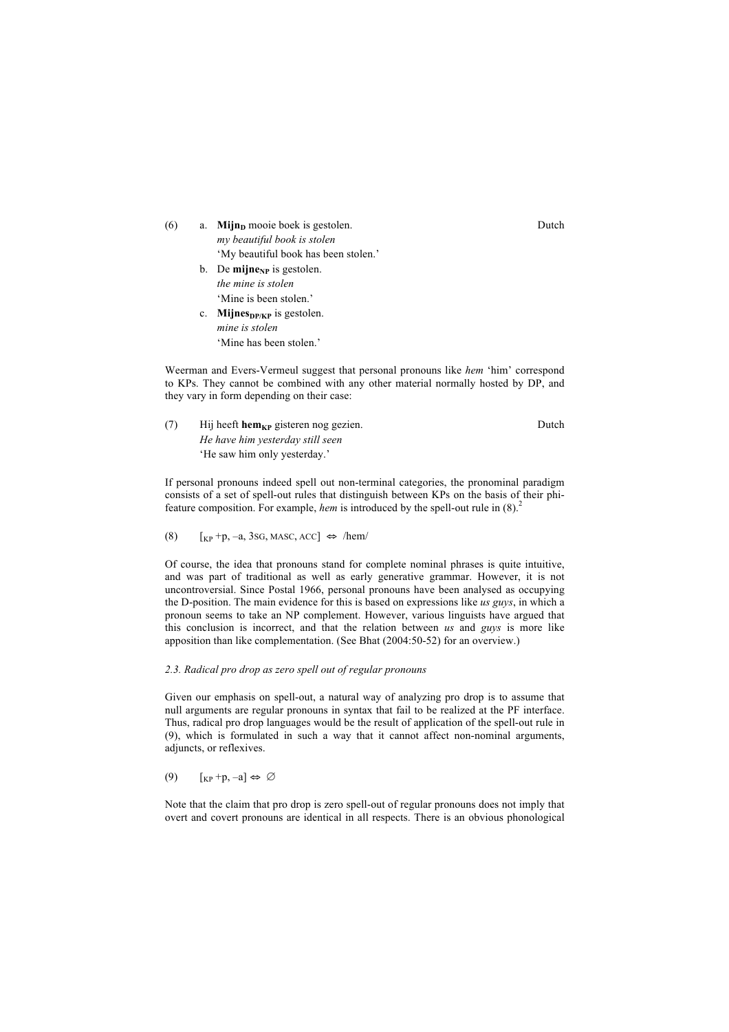- (6) a. **Mijn**<sub>D</sub> mooie boek is gestolen. Dutch *my beautiful book is stolen* 'My beautiful book has been stolen.'
	- b. De **mijne**<sub>NP</sub> is gestolen. *the mine is stolen* 'Mine is been stolen.' c. **Mijnes**<sub>DP/KP</sub> is gestolen.
	- *mine is stolen* 'Mine has been stolen.'

Weerman and Evers-Vermeul suggest that personal pronouns like *hem* 'him' correspond to KPs. They cannot be combined with any other material normally hosted by DP, and they vary in form depending on their case:

(7) Hij heeft  $\mathbf{hem}_{\mathbf{KP}}$  gisteren nog gezien. Dutch *He have him yesterday still seen* 'He saw him only yesterday.'

If personal pronouns indeed spell out non-terminal categories, the pronominal paradigm consists of a set of spell-out rules that distinguish between KPs on the basis of their phifeature composition. For example, *hem* is introduced by the spell-out rule in (8). 2

(8)  $\left[\kappa_{\rm P} + \mathbf{p}, -\mathbf{a}, 3\,\text{SG}, \text{MASC}, \text{ACC}\right] \Leftrightarrow / \text{hem} /$ 

Of course, the idea that pronouns stand for complete nominal phrases is quite intuitive, and was part of traditional as well as early generative grammar. However, it is not uncontroversial. Since Postal 1966, personal pronouns have been analysed as occupying the D-position. The main evidence for this is based on expressions like *us guys*, in which a pronoun seems to take an NP complement. However, various linguists have argued that this conclusion is incorrect, and that the relation between *us* and *guys* is more like apposition than like complementation. (See Bhat (2004:50-52) for an overview.)

# *2.3. Radical pro drop as zero spell out of regular pronouns*

Given our emphasis on spell-out, a natural way of analyzing pro drop is to assume that null arguments are regular pronouns in syntax that fail to be realized at the PF interface. Thus, radical pro drop languages would be the result of application of the spell-out rule in (9), which is formulated in such a way that it cannot affect non-nominal arguments, adjuncts, or reflexives.

(9)  $[xP + P, -a] \Leftrightarrow \emptyset$ 

Note that the claim that pro drop is zero spell-out of regular pronouns does not imply that overt and covert pronouns are identical in all respects. There is an obvious phonological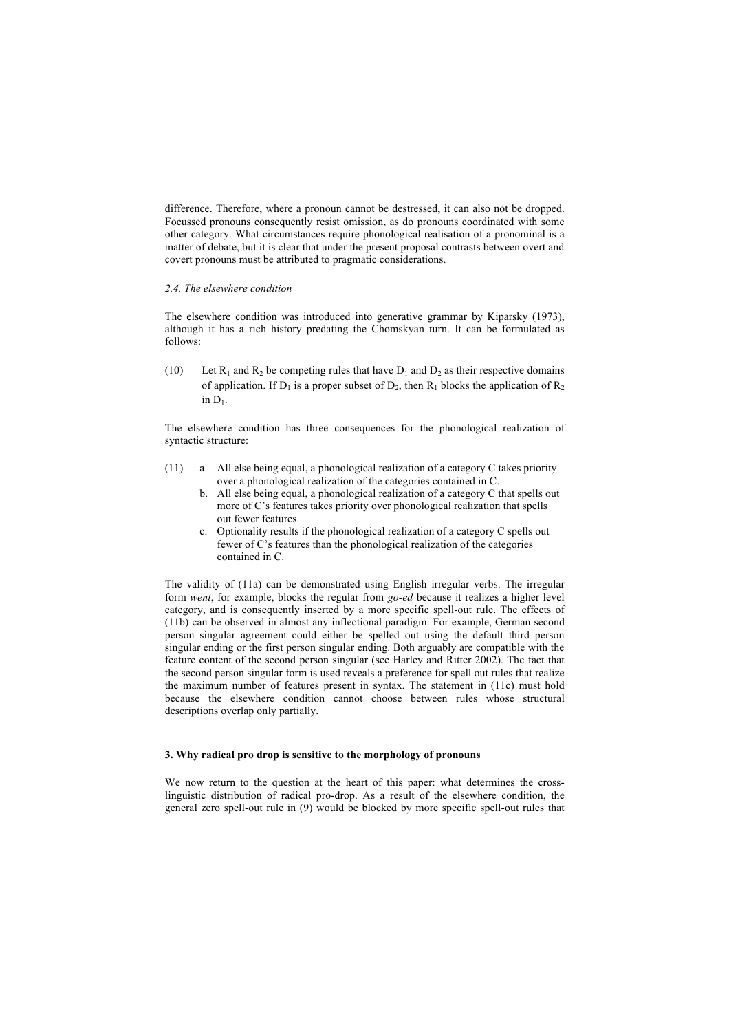difference. Therefore, where a pronoun cannot be destressed, it can also not be dropped. Focussed pronouns consequently resist omission, as do pronouns coordinated with some other category. What circumstances require phonological realisation of a pronominal is a matter of debate, but it is clear that under the present proposal contrasts between overt and covert pronouns must be attributed to pragmatic considerations.

# *2.4. The elsewhere condition*

The elsewhere condition was introduced into generative grammar by Kiparsky (1973), although it has a rich history predating the Chomskyan turn. It can be formulated as follows:

(10) Let  $R_1$  and  $R_2$  be competing rules that have  $D_1$  and  $D_2$  as their respective domains of application. If  $D_1$  is a proper subset of  $D_2$ , then  $R_1$  blocks the application of  $R_2$ in  $D_1$ .

The elsewhere condition has three consequences for the phonological realization of syntactic structure:

- (11) a. All else being equal, a phonological realization of a category C takes priority over a phonological realization of the categories contained in C.
	- b. All else being equal, a phonological realization of a category C that spells out more of C's features takes priority over phonological realization that spells out fewer features.
	- c. Optionality results if the phonological realization of a category C spells out fewer of C's features than the phonological realization of the categories contained in C.

The validity of (11a) can be demonstrated using English irregular verbs. The irregular form *went*, for example, blocks the regular from *go-ed* because it realizes a higher level category, and is consequently inserted by a more specific spell-out rule. The effects of (11b) can be observed in almost any inflectional paradigm. For example, German second person singular agreement could either be spelled out using the default third person singular ending or the first person singular ending. Both arguably are compatible with the feature content of the second person singular (see Harley and Ritter 2002). The fact that the second person singular form is used reveals a preference for spell out rules that realize the maximum number of features present in syntax. The statement in (11c) must hold because the elsewhere condition cannot choose between rules whose structural descriptions overlap only partially.

### **3. Why radical pro drop is sensitive to the morphology of pronouns**

We now return to the question at the heart of this paper: what determines the crosslinguistic distribution of radical pro-drop. As a result of the elsewhere condition, the general zero spell-out rule in (9) would be blocked by more specific spell-out rules that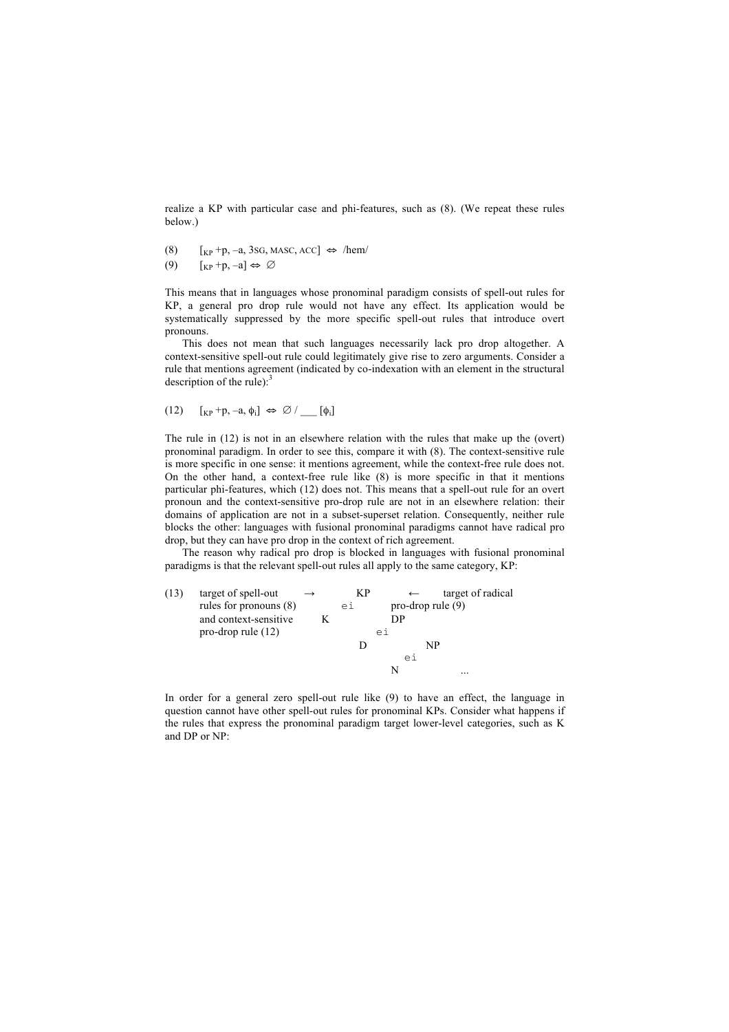realize a KP with particular case and phi-features, such as (8). (We repeat these rules below.)

- (8)  $\left[\kappa_{\rm P} + \mathbf{p}, -\mathbf{a}, 3\,\text{SG}, \text{MASC}, \text{ACC}\right] \Leftrightarrow \text{/hem/}$
- (9)  $[x_P + p, -a] \Leftrightarrow \varnothing$

This means that in languages whose pronominal paradigm consists of spell-out rules for KP, a general pro drop rule would not have any effect. Its application would be systematically suppressed by the more specific spell-out rules that introduce overt pronouns.

This does not mean that such languages necessarily lack pro drop altogether. A context-sensitive spell-out rule could legitimately give rise to zero arguments. Consider a rule that mentions agreement (indicated by co-indexation with an element in the structural description of the rule): $3$ 

(12) 
$$
[\kappa P + p, -a, \phi_i] \Leftrightarrow \emptyset / \underline{\qquad} [\phi_i]
$$

The rule in (12) is not in an elsewhere relation with the rules that make up the (overt) pronominal paradigm. In order to see this, compare it with (8). The context-sensitive rule is more specific in one sense: it mentions agreement, while the context-free rule does not. On the other hand, a context-free rule like (8) is more specific in that it mentions particular phi-features, which (12) does not. This means that a spell-out rule for an overt pronoun and the context-sensitive pro-drop rule are not in an elsewhere relation: their domains of application are not in a subset-superset relation. Consequently, neither rule blocks the other: languages with fusional pronominal paradigms cannot have radical pro drop, but they can have pro drop in the context of rich agreement.

The reason why radical pro drop is blocked in languages with fusional pronominal paradigms is that the relevant spell-out rules all apply to the same category, KP:

(13) target of spell-out  $\rightarrow$  KP ← target of radical rules for pronouns  $(8)$  ei pro-drop rule  $(9)$ and context-sensitive K DP pro-drop rule (12) ei D NP ei N ...

In order for a general zero spell-out rule like (9) to have an effect, the language in question cannot have other spell-out rules for pronominal KPs. Consider what happens if the rules that express the pronominal paradigm target lower-level categories, such as K and DP or NP: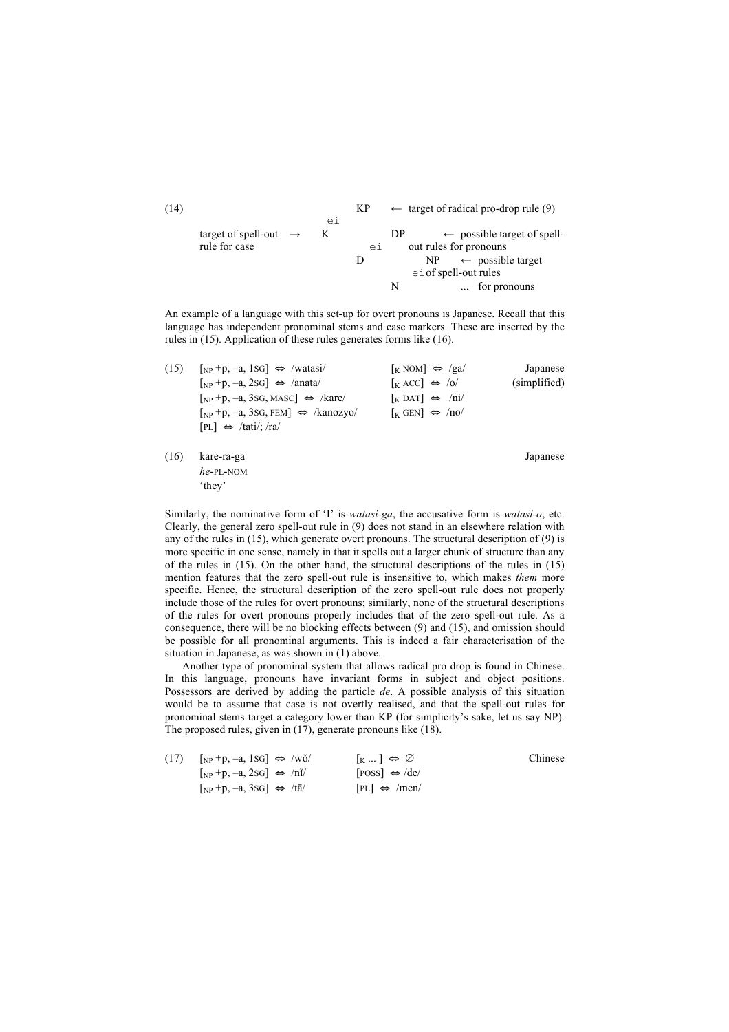

An example of a language with this set-up for overt pronouns is Japanese. Recall that this language has independent pronominal stems and case markers. These are inserted by the rules in (15). Application of these rules generates forms like (16).

| (15) | $\lceil_{NP} + p, -a, 1SG \rceil \Leftrightarrow$ /watasi/            | $\lceil_K NOM \rceil \Leftrightarrow \text{Qa}/\text{Qa}$ | Japanese     |
|------|-----------------------------------------------------------------------|-----------------------------------------------------------|--------------|
|      | $\lceil_{NP} + p, -a, 2SG \rceil \Leftrightarrow$ /anata/             | $\lceil K \text{ ACC} \rceil \Leftrightarrow /0/$         | (simplified) |
|      | $\lceil_{NP} + p, -a, 3SG, MASC \rceil \Leftrightarrow \text{/kare/}$ | $\lceil_K \text{DAT} \rceil \Leftrightarrow \text{ini}/$  |              |
|      | $\lceil_{NP} + p, -a, 3SG, FEM \rceil \Leftrightarrow$ /kanozyo/      | $\lceil_K$ GEN $\rceil \Leftrightarrow$ /no/              |              |
|      | $[PL] \Leftrightarrow$ /tati/; /ra/                                   |                                                           |              |
| (16) | kare-ra-ga                                                            |                                                           | Japanese     |
|      | $he$ -PL-NOM                                                          |                                                           |              |
|      | 'they'                                                                |                                                           |              |
|      |                                                                       |                                                           |              |

Similarly, the nominative form of 'I' is *watasi-ga*, the accusative form is *watasi-o*, etc. Clearly, the general zero spell-out rule in (9) does not stand in an elsewhere relation with any of the rules in (15), which generate overt pronouns. The structural description of (9) is more specific in one sense, namely in that it spells out a larger chunk of structure than any of the rules in  $(15)$ . On the other hand, the structural descriptions of the rules in  $(15)$ mention features that the zero spell-out rule is insensitive to, which makes *them* more specific. Hence, the structural description of the zero spell-out rule does not properly include those of the rules for overt pronouns; similarly, none of the structural descriptions of the rules for overt pronouns properly includes that of the zero spell-out rule. As a consequence, there will be no blocking effects between (9) and (15), and omission should be possible for all pronominal arguments. This is indeed a fair characterisation of the situation in Japanese, as was shown in (1) above.

Another type of pronominal system that allows radical pro drop is found in Chinese. In this language, pronouns have invariant forms in subject and object positions. Possessors are derived by adding the particle *de*. A possible analysis of this situation would be to assume that case is not overtly realised, and that the spell-out rules for pronominal stems target a category lower than KP (for simplicity's sake, let us say NP). The proposed rules, given in  $(17)$ , generate pronouns like  $(18)$ .

| $(17)$ [ <sub>NP</sub> +p <sub>1</sub> , -a <sub>1</sub> 1sG] $\Leftrightarrow$ /wǒ/ | $\lbrack K \dots \rbrack \leftrightarrow \varnothing$ | Chinese |
|--------------------------------------------------------------------------------------|-------------------------------------------------------|---------|
| $\lceil_{NP} + p, -a, 2SG \rceil \Leftrightarrow \ln i$                              | $[Poss] \Leftrightarrow /de/$                         |         |
| $\lceil_{NP} + p, -a, 3SG \rceil \Leftrightarrow /t\bar{a}/$                         | $[PL] \Leftrightarrow /men/$                          |         |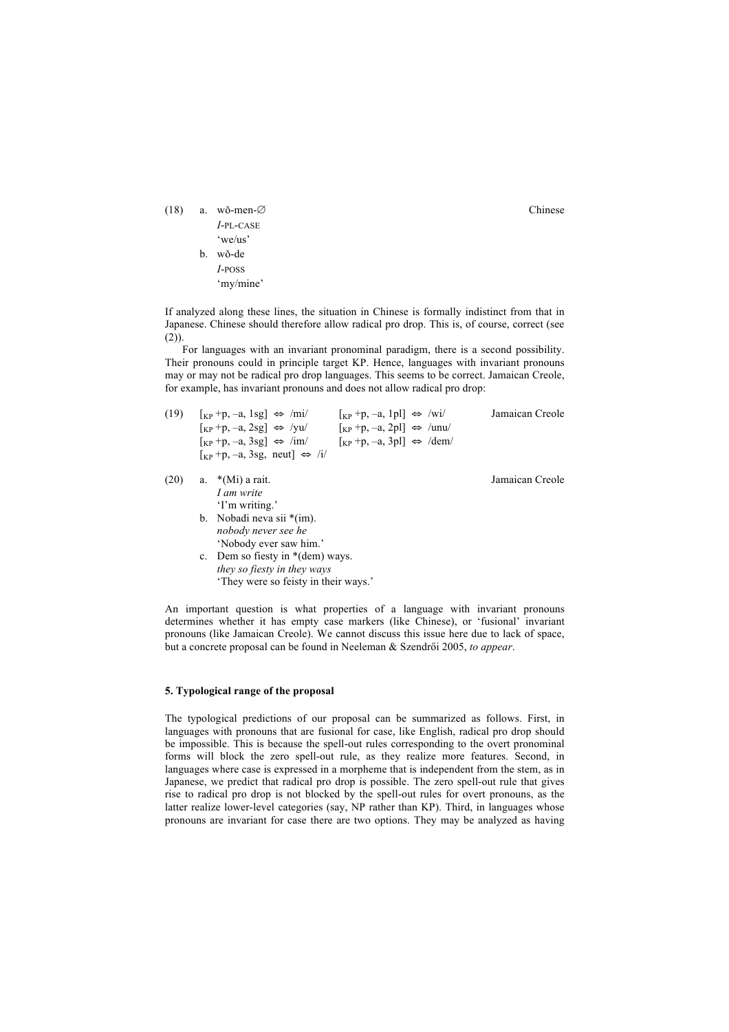(18) a. wǒ-men-∅ Chinese *I*-PL-CASE 'we/us' b. wǒ-de *I*-POSS 'my/mine'

If analyzed along these lines, the situation in Chinese is formally indistinct from that in Japanese. Chinese should therefore allow radical pro drop. This is, of course, correct (see (2)).

For languages with an invariant pronominal paradigm, there is a second possibility. Their pronouns could in principle target KP. Hence, languages with invariant pronouns may or may not be radical pro drop languages. This seems to be correct. Jamaican Creole, for example, has invariant pronouns and does not allow radical pro drop:

| (19) | $\lceil_{KP} + p, -a, 1sg \rceil \Leftrightarrow /mi/$<br>$\lceil_{KP} + p, -a, 2sg \rceil \Leftrightarrow /yu/$<br>$[x_P + p, -a, 3sg] \Leftrightarrow \lim$<br>$\lceil_{KP} + p, -a, 3sg, \text{ neut} \rceil \Leftrightarrow \lceil i \rceil$ | $\lceil_{KP} + p, -a, 1p \rceil \Leftrightarrow \sqrt{wi}$<br>$\lceil_{KP} + p, -a, 2p \rceil \Leftrightarrow \text{lnu}$<br>$\lceil_{KP} + p, -a, 3p \rceil \Leftrightarrow$ /dem/ | Jamaican Creole |
|------|--------------------------------------------------------------------------------------------------------------------------------------------------------------------------------------------------------------------------------------------------|-------------------------------------------------------------------------------------------------------------------------------------------------------------------------------------|-----------------|
| (20) | a. $*(Mi)$ a rait.<br>I am write<br>'I'm writing.'                                                                                                                                                                                               |                                                                                                                                                                                     | Jamaican Creole |
|      | b. Nobadi neva sii *(im).<br>nobody never see he<br>'Nobody ever saw him.'                                                                                                                                                                       |                                                                                                                                                                                     |                 |
|      | c. Dem so fiesty in $*(dem)$ ways.<br>they so fiesty in they ways<br>'They were so feisty in their ways.'                                                                                                                                        |                                                                                                                                                                                     |                 |

An important question is what properties of a language with invariant pronouns determines whether it has empty case markers (like Chinese), or 'fusional' invariant pronouns (like Jamaican Creole). We cannot discuss this issue here due to lack of space, but a concrete proposal can be found in Neeleman & Szendrői 2005, *to appear*.

# **5. Typological range of the proposal**

The typological predictions of our proposal can be summarized as follows. First, in languages with pronouns that are fusional for case, like English, radical pro drop should be impossible. This is because the spell-out rules corresponding to the overt pronominal forms will block the zero spell-out rule, as they realize more features. Second, in languages where case is expressed in a morpheme that is independent from the stem, as in Japanese, we predict that radical pro drop is possible. The zero spell-out rule that gives rise to radical pro drop is not blocked by the spell-out rules for overt pronouns, as the latter realize lower-level categories (say, NP rather than KP). Third, in languages whose pronouns are invariant for case there are two options. They may be analyzed as having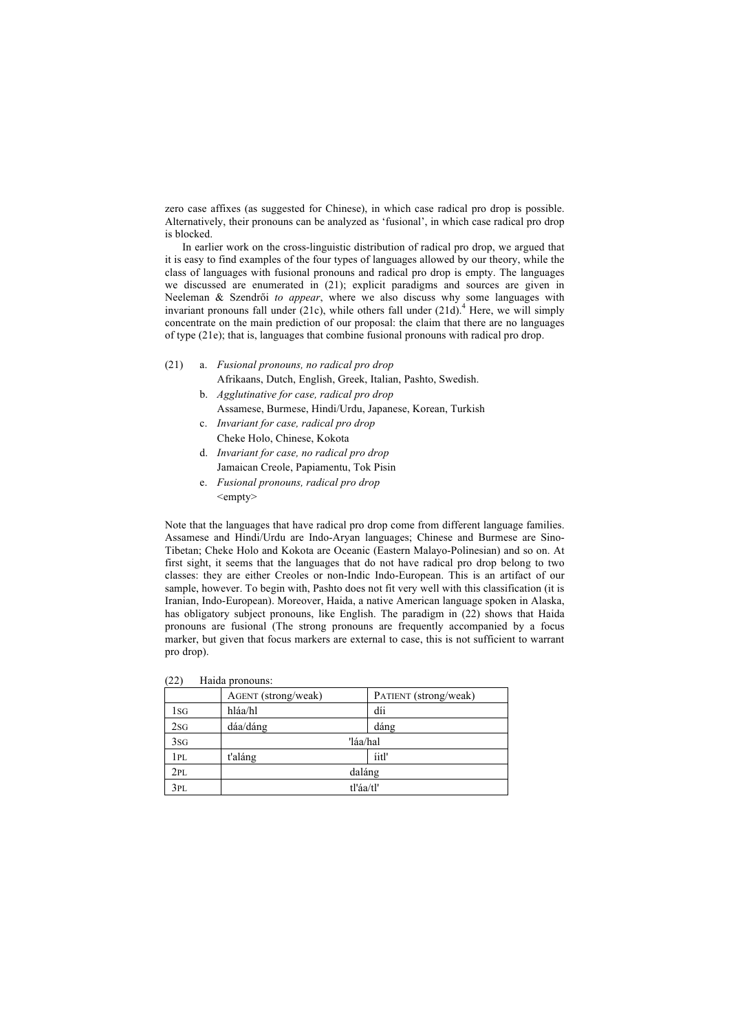zero case affixes (as suggested for Chinese), in which case radical pro drop is possible. Alternatively, their pronouns can be analyzed as 'fusional', in which case radical pro drop is blocked.

In earlier work on the cross-linguistic distribution of radical pro drop, we argued that it is easy to find examples of the four types of languages allowed by our theory, while the class of languages with fusional pronouns and radical pro drop is empty. The languages we discussed are enumerated in (21); explicit paradigms and sources are given in Neeleman & Szendrői *to appear*, where we also discuss why some languages with invariant pronouns fall under  $(21c)$ , while others fall under  $(21d)$ .<sup>4</sup> Here, we will simply concentrate on the main prediction of our proposal: the claim that there are no languages of type (21e); that is, languages that combine fusional pronouns with radical pro drop.

- (21) a. *Fusional pronouns, no radical pro drop*
	- Afrikaans, Dutch, English, Greek, Italian, Pashto, Swedish.
	- b. *Agglutinative for case, radical pro drop* Assamese, Burmese, Hindi/Urdu, Japanese, Korean, Turkish
	- c. *Invariant for case, radical pro drop* Cheke Holo, Chinese, Kokota
	- d. *Invariant for case, no radical pro drop* Jamaican Creole, Papiamentu, Tok Pisin
	- e. *Fusional pronouns, radical pro drop* <empty>

Note that the languages that have radical pro drop come from different language families. Assamese and Hindi/Urdu are Indo-Aryan languages; Chinese and Burmese are Sino-Tibetan; Cheke Holo and Kokota are Oceanic (Eastern Malayo-Polinesian) and so on. At first sight, it seems that the languages that do not have radical pro drop belong to two classes: they are either Creoles or non-Indic Indo-European. This is an artifact of our sample, however. To begin with, Pashto does not fit very well with this classification (it is Iranian, Indo-European). Moreover, Haida, a native American language spoken in Alaska, has obligatory subject pronouns, like English. The paradigm in (22) shows that Haida pronouns are fusional (The strong pronouns are frequently accompanied by a focus marker, but given that focus markers are external to case, this is not sufficient to warrant pro drop).

|     | AGENT (strong/weak) | PATIENT (strong/weak) |  |
|-----|---------------------|-----------------------|--|
| 1sG | hláa/hl             | díi                   |  |
| 2SG | dáa/dáng            | dáng                  |  |
| 3SG | 'láa/hal            |                       |  |
| 1PL | iitl'<br>t'aláng    |                       |  |
| 2PL | daláng              |                       |  |
| 3PL | tľáa/tľ             |                       |  |

(22) Haida pronouns: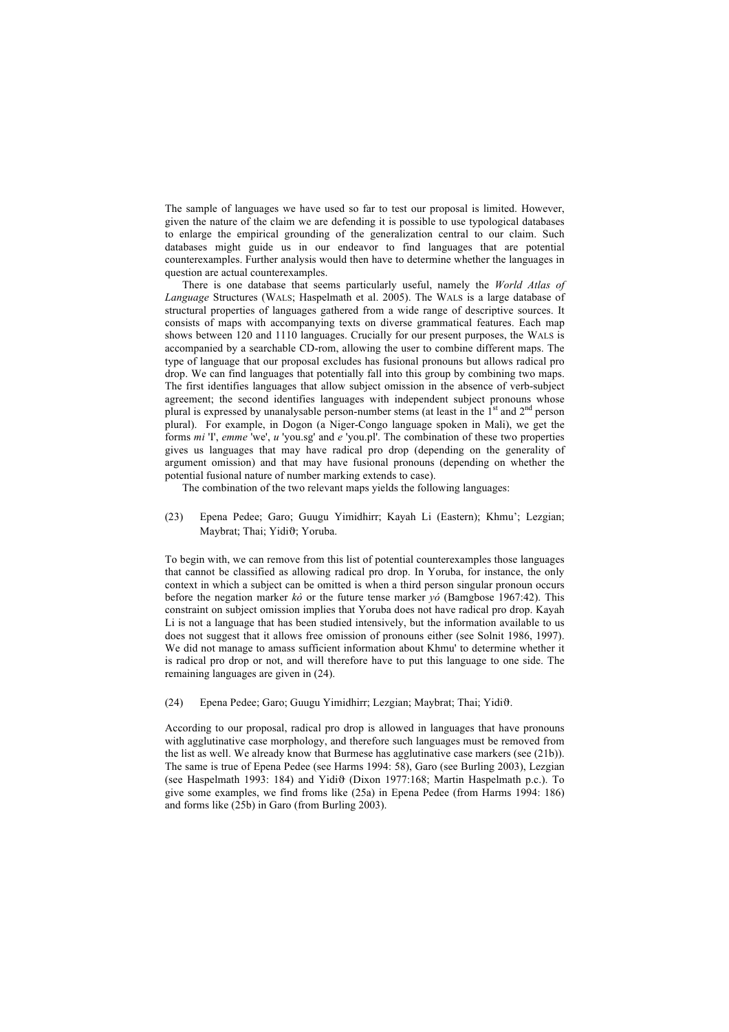The sample of languages we have used so far to test our proposal is limited. However, given the nature of the claim we are defending it is possible to use typological databases to enlarge the empirical grounding of the generalization central to our claim. Such databases might guide us in our endeavor to find languages that are potential counterexamples. Further analysis would then have to determine whether the languages in question are actual counterexamples.

There is one database that seems particularly useful, namely the *World Atlas of Language* Structures (WALS; Haspelmath et al. 2005). The WALS is a large database of structural properties of languages gathered from a wide range of descriptive sources. It consists of maps with accompanying texts on diverse grammatical features. Each map shows between 120 and 1110 languages. Crucially for our present purposes, the WALS is accompanied by a searchable CD-rom, allowing the user to combine different maps. The type of language that our proposal excludes has fusional pronouns but allows radical pro drop. We can find languages that potentially fall into this group by combining two maps. The first identifies languages that allow subject omission in the absence of verb-subject agreement; the second identifies languages with independent subject pronouns whose plural is expressed by unanalysable person-number stems (at least in the  $1<sup>st</sup>$  and  $2<sup>nd</sup>$  person plural). For example, in Dogon (a Niger-Congo language spoken in Mali), we get the forms *mi* 'I', *emme* 'we', *u* 'you.sg' and *e* 'you.pl'. The combination of these two properties gives us languages that may have radical pro drop (depending on the generality of argument omission) and that may have fusional pronouns (depending on whether the potential fusional nature of number marking extends to case).

The combination of the two relevant maps yields the following languages:

(23) Epena Pedee; Garo; Guugu Yimidhirr; Kayah Li (Eastern); Khmu'; Lezgian; Maybrat: Thai: Yidiθ: Yoruba.

To begin with, we can remove from this list of potential counterexamples those languages that cannot be classified as allowing radical pro drop. In Yoruba, for instance, the only context in which a subject can be omitted is when a third person singular pronoun occurs before the negation marker *kò* or the future tense marker *yó* (Bamgbose 1967:42). This constraint on subject omission implies that Yoruba does not have radical pro drop. Kayah Li is not a language that has been studied intensively, but the information available to us does not suggest that it allows free omission of pronouns either (see Solnit 1986, 1997). We did not manage to amass sufficient information about Khmu' to determine whether it is radical pro drop or not, and will therefore have to put this language to one side. The remaining languages are given in (24).

(24) Epena Pedee; Garo; Guugu Yimidhirr; Lezgian; Maybrat; Thai; Yidiϑ.

According to our proposal, radical pro drop is allowed in languages that have pronouns with agglutinative case morphology, and therefore such languages must be removed from the list as well. We already know that Burmese has agglutinative case markers (see (21b)). The same is true of Epena Pedee (see Harms 1994: 58), Garo (see Burling 2003), Lezgian (see Haspelmath 1993: 184) and Yidiϑ (Dixon 1977:168; Martin Haspelmath p.c.). To give some examples, we find froms like (25a) in Epena Pedee (from Harms 1994: 186) and forms like  $(25b)$  in Garo (from Burling 2003).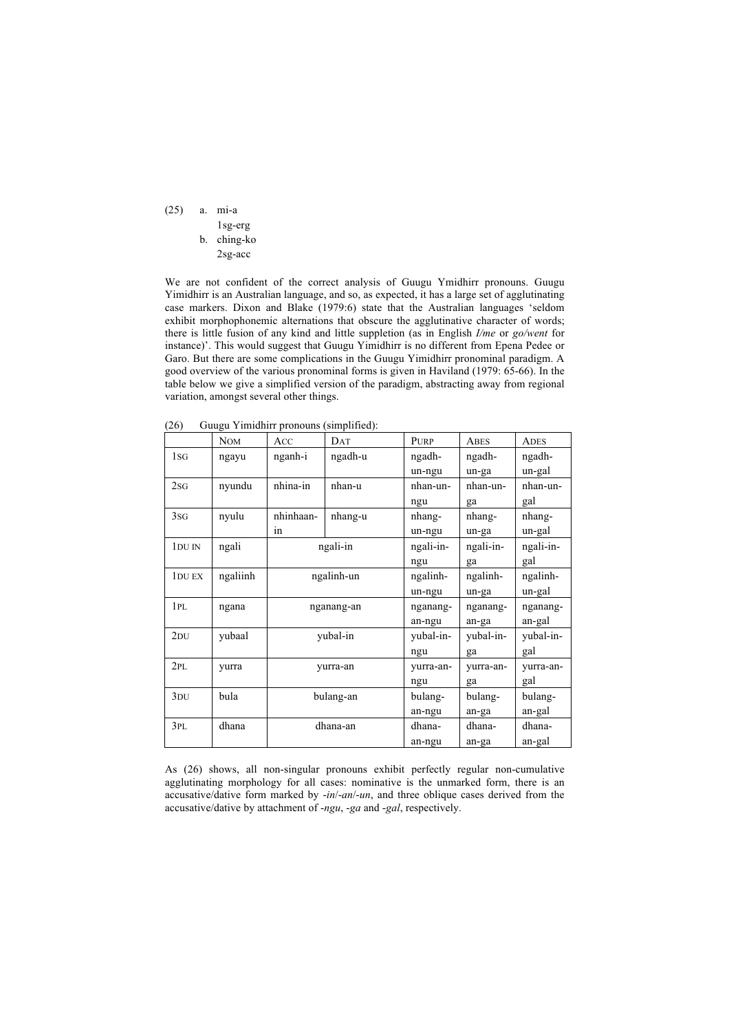(25) a. mi-a

# 1sg-erg b. ching-ko

2sg-acc

We are not confident of the correct analysis of Guugu Ymidhirr pronouns. Guugu Yimidhirr is an Australian language, and so, as expected, it has a large set of agglutinating case markers. Dixon and Blake (1979:6) state that the Australian languages 'seldom exhibit morphophonemic alternations that obscure the agglutinative character of words; there is little fusion of any kind and little suppletion (as in English *I/me* or *go/went* for instance)'. This would suggest that Guugu Yimidhirr is no different from Epena Pedee or Garo. But there are some complications in the Guugu Yimidhirr pronominal paradigm. A good overview of the various pronominal forms is given in Haviland (1979: 65-66). In the table below we give a simplified version of the paradigm, abstracting away from regional variation, amongst several other things.

|               | <b>NOM</b> | ACC       | DAT        | PURP      | <b>ABES</b> | <b>ADES</b> |
|---------------|------------|-----------|------------|-----------|-------------|-------------|
| 1sG           | ngayu      | nganh-i   | ngadh-u    | ngadh-    | ngadh-      | ngadh-      |
|               |            |           |            | un-ngu    | un-ga       | un-gal      |
| 2sG           | nyundu     | nhina-in  | nhan-u     | nhan-un-  | nhan-un-    | nhan-un-    |
|               |            |           |            | ngu       | ga          | gal         |
| 3sG           | nyulu      | nhinhaan- | nhang-u    | nhang-    | nhang-      | nhang-      |
|               |            | in        |            | un-ngu    | un-ga       | un-gal      |
| 1 DU IN       | ngali      |           | ngali-in   | ngali-in- | ngali-in-   | ngali-in-   |
|               |            |           |            | ngu       | ga          | gal         |
| <b>IDU EX</b> | ngaliinh   |           | ngalinh-un | ngalinh-  | ngalinh-    | ngalinh-    |
|               |            |           |            | un-ngu    | un-ga       | un-gal      |
| 1PL           | ngana      |           | nganang-an | nganang-  | nganang-    | nganang-    |
|               |            |           |            | an-ngu    | an-ga       | an-gal      |
| 2DU           | yubaal     |           | yubal-in   | yubal-in- | yubal-in-   | yubal-in-   |
|               |            |           |            | ngu       | ga          | gal         |
| 2PL           | yurra      |           | yurra-an   | yurra-an- | yurra-an-   | yurra-an-   |
|               |            |           |            | ngu       | ga          | gal         |
| 3DU           | bula       |           | bulang-an  | bulang-   | bulang-     | bulang-     |
|               |            |           |            | an-ngu    | an-ga       | an-gal      |
| 3PL           | dhana      |           | dhana-an   | dhana-    | dhana-      | dhana-      |
|               |            |           |            | an-ngu    | an-ga       | an-gal      |

(26) Guugu Yimidhirr pronouns (simplified):

As (26) shows, all non-singular pronouns exhibit perfectly regular non-cumulative agglutinating morphology for all cases: nominative is the unmarked form, there is an accusative/dative form marked by -*in*/-*an*/-*un*, and three oblique cases derived from the accusative/dative by attachment of -*ngu*, -*ga* and -*gal*, respectively.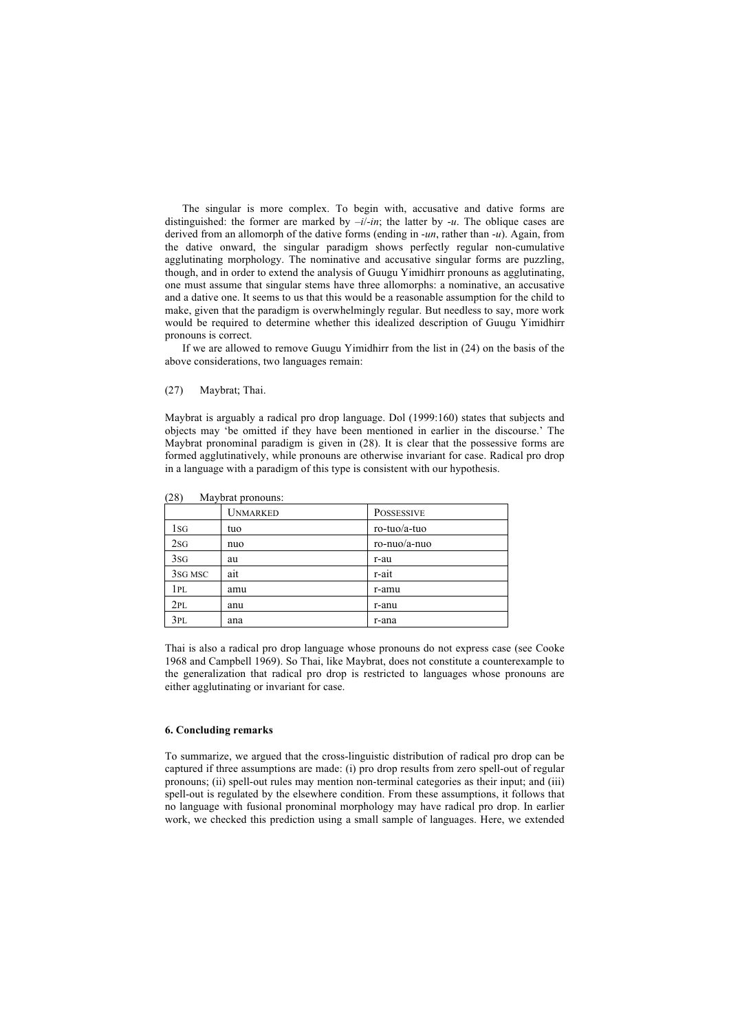The singular is more complex. To begin with, accusative and dative forms are distinguished: the former are marked by  $-i\ell$ -*in*; the latter by -*u*. The oblique cases are derived from an allomorph of the dative forms (ending in -*un*, rather than -*u*). Again, from the dative onward, the singular paradigm shows perfectly regular non-cumulative agglutinating morphology. The nominative and accusative singular forms are puzzling, though, and in order to extend the analysis of Guugu Yimidhirr pronouns as agglutinating, one must assume that singular stems have three allomorphs: a nominative, an accusative and a dative one. It seems to us that this would be a reasonable assumption for the child to make, given that the paradigm is overwhelmingly regular. But needless to say, more work would be required to determine whether this idealized description of Guugu Yimidhirr pronouns is correct.

If we are allowed to remove Guugu Yimidhirr from the list in (24) on the basis of the above considerations, two languages remain:

# (27) Maybrat; Thai.

Maybrat is arguably a radical pro drop language. Dol (1999:160) states that subjects and objects may 'be omitted if they have been mentioned in earlier in the discourse.' The Maybrat pronominal paradigm is given in (28). It is clear that the possessive forms are formed agglutinatively, while pronouns are otherwise invariant for case. Radical pro drop in a language with a paradigm of this type is consistent with our hypothesis.

|                                 | <b>UNMARKED</b> | <b>POSSESSIVE</b> |
|---------------------------------|-----------------|-------------------|
| 1sg                             | tuo             | ro-tuo/a-tuo      |
| 2sG                             | nuo             | ro-nuo/a-nuo      |
| 3sG                             | au              | r-au              |
| 3 <sub>SG</sub> M <sub>SC</sub> | ait             | r-ait             |
| 1pl                             | amu             | r-amu             |
| 2PL                             | anu             | r-anu             |
| 3PL                             | ana             | r-ana             |

(28) Maybrat pronouns:

Thai is also a radical pro drop language whose pronouns do not express case (see Cooke 1968 and Campbell 1969). So Thai, like Maybrat, does not constitute a counterexample to the generalization that radical pro drop is restricted to languages whose pronouns are either agglutinating or invariant for case.

# **6. Concluding remarks**

To summarize, we argued that the cross-linguistic distribution of radical pro drop can be captured if three assumptions are made: (i) pro drop results from zero spell-out of regular pronouns; (ii) spell-out rules may mention non-terminal categories as their input; and (iii) spell-out is regulated by the elsewhere condition. From these assumptions, it follows that no language with fusional pronominal morphology may have radical pro drop. In earlier work, we checked this prediction using a small sample of languages. Here, we extended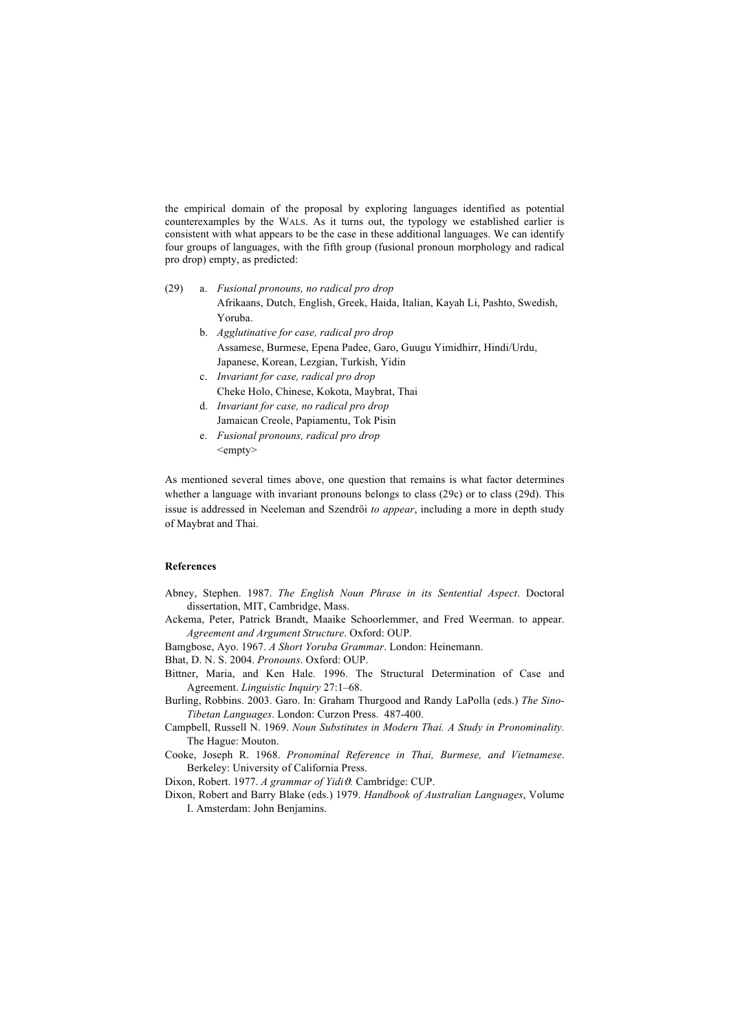the empirical domain of the proposal by exploring languages identified as potential counterexamples by the WALS. As it turns out, the typology we established earlier is consistent with what appears to be the case in these additional languages. We can identify four groups of languages, with the fifth group (fusional pronoun morphology and radical pro drop) empty, as predicted:

- (29) a. *Fusional pronouns, no radical pro drop* Afrikaans, Dutch, English, Greek, Haida, Italian, Kayah Li, Pashto, Swedish, Yoruba.
	- b. *Agglutinative for case, radical pro drop* Assamese, Burmese, Epena Padee, Garo, Guugu Yimidhirr, Hindi/Urdu, Japanese, Korean, Lezgian, Turkish, Yidin c. *Invariant for case, radical pro drop*
	- Cheke Holo, Chinese, Kokota, Maybrat, Thai
	- d. *Invariant for case, no radical pro drop* Jamaican Creole, Papiamentu, Tok Pisin
	- e. *Fusional pronouns, radical pro drop* <empty>

As mentioned several times above, one question that remains is what factor determines whether a language with invariant pronouns belongs to class (29c) or to class (29d). This issue is addressed in Neeleman and Szendrői *to appear*, including a more in depth study of Maybrat and Thai.

## **References**

- Abney, Stephen. 1987. *The English Noun Phrase in its Sentential Aspect*. Doctoral dissertation, MIT, Cambridge, Mass.
- Ackema, Peter, Patrick Brandt, Maaike Schoorlemmer, and Fred Weerman. to appear. *Agreement and Argument Structure*. Oxford: OUP.
- Bamgbose, Ayo. 1967. *A Short Yoruba Grammar*. London: Heinemann.
- Bhat, D. N. S. 2004. *Pronouns*. Oxford: OUP.
- Bittner, Maria, and Ken Hale. 1996. The Structural Determination of Case and Agreement. *Linguistic Inquiry* 27:1–68.
- Burling, Robbins. 2003. Garo. In: Graham Thurgood and Randy LaPolla (eds.) *The Sino-Tibetan Languages*. London: Curzon Press. 487-400.
- Campbell, Russell N. 1969. *Noun Substitutes in Modern Thai. A Study in Pronominality.* The Hague: Mouton.
- Cooke, Joseph R. 1968. *Pronominal Reference in Thai, Burmese, and Vietnamese*. Berkeley: University of California Press.

Dixon, Robert. 1977. *A grammar of Yidi*ϑ*.* Cambridge: CUP.

Dixon, Robert and Barry Blake (eds.) 1979. *Handbook of Australian Languages*, Volume I. Amsterdam: John Benjamins.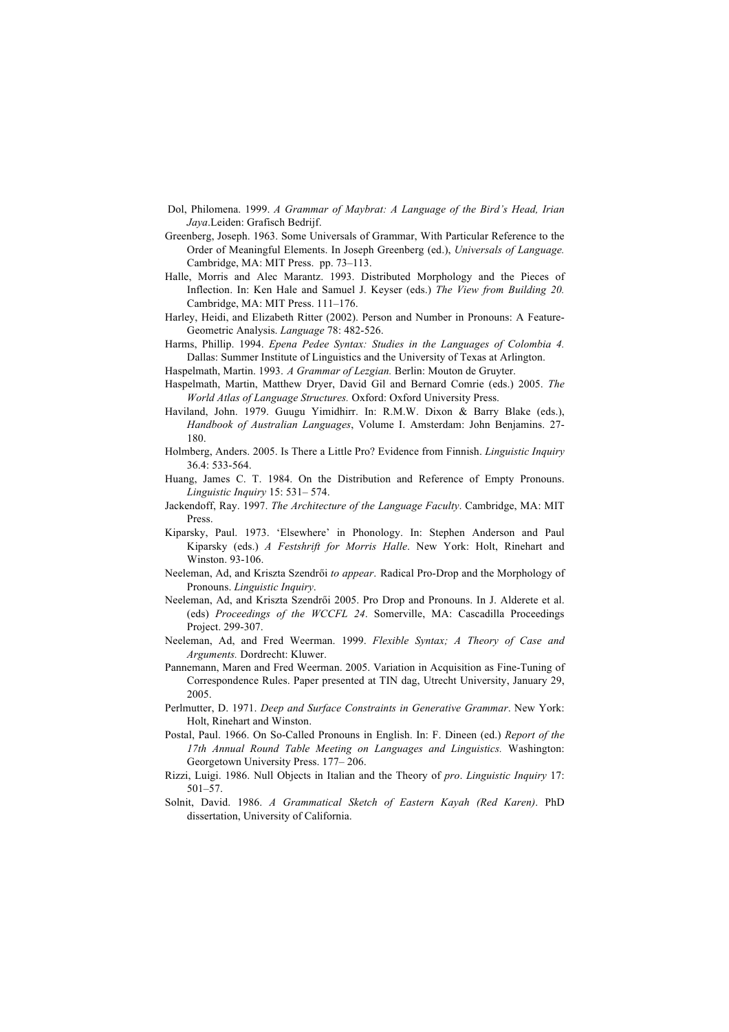- Dol, Philomena. 1999. *A Grammar of Maybrat: A Language of the Bird's Head, Irian Jaya*.Leiden: Grafisch Bedrijf.
- Greenberg, Joseph. 1963. Some Universals of Grammar, With Particular Reference to the Order of Meaningful Elements. In Joseph Greenberg (ed.), *Universals of Language.*  Cambridge, MA: MIT Press. pp. 73–113.
- Halle, Morris and Alec Marantz. 1993. Distributed Morphology and the Pieces of Inflection. In: Ken Hale and Samuel J. Keyser (eds.) *The View from Building 20.* Cambridge, MA: MIT Press. 111–176.
- Harley, Heidi, and Elizabeth Ritter (2002). Person and Number in Pronouns: A Feature-Geometric Analysis. *Language* 78: 482-526.
- Harms, Phillip. 1994. *Epena Pedee Syntax: Studies in the Languages of Colombia 4.* Dallas: Summer Institute of Linguistics and the University of Texas at Arlington.
- Haspelmath, Martin. 1993. *A Grammar of Lezgian.* Berlin: Mouton de Gruyter.
- Haspelmath, Martin, Matthew Dryer, David Gil and Bernard Comrie (eds.) 2005. *The World Atlas of Language Structures.* Oxford: Oxford University Press.
- Haviland, John. 1979. Guugu Yimidhirr. In: R.M.W. Dixon & Barry Blake (eds.), *Handbook of Australian Languages*, Volume I. Amsterdam: John Benjamins. 27- 180.
- Holmberg, Anders. 2005. Is There a Little Pro? Evidence from Finnish. *Linguistic Inquiry* 36.4: 533-564.
- Huang, James C. T. 1984. On the Distribution and Reference of Empty Pronouns. *Linguistic Inquiry* 15: 531– 574.
- Jackendoff, Ray. 1997. *The Architecture of the Language Faculty*. Cambridge, MA: MIT Press.
- Kiparsky, Paul. 1973. 'Elsewhere' in Phonology. In: Stephen Anderson and Paul Kiparsky (eds.) *A Festshrift for Morris Halle*. New York: Holt, Rinehart and Winston. 93-106.
- Neeleman, Ad, and Kriszta Szendrői *to appear*. Radical Pro-Drop and the Morphology of Pronouns. *Linguistic Inquiry*.
- Neeleman, Ad, and Kriszta Szendrői 2005. Pro Drop and Pronouns. In J. Alderete et al. (eds) *Proceedings of the WCCFL 24*. Somerville, MA: Cascadilla Proceedings Project. 299-307.
- Neeleman, Ad, and Fred Weerman. 1999. *Flexible Syntax; A Theory of Case and Arguments.* Dordrecht: Kluwer.
- Pannemann, Maren and Fred Weerman. 2005. Variation in Acquisition as Fine-Tuning of Correspondence Rules. Paper presented at TIN dag, Utrecht University, January 29, 2005.
- Perlmutter, D. 1971. *Deep and Surface Constraints in Generative Grammar*. New York: Holt, Rinehart and Winston.
- Postal, Paul. 1966. On So-Called Pronouns in English. In: F. Dineen (ed.) *Report of the 17th Annual Round Table Meeting on Languages and Linguistics.* Washington: Georgetown University Press. 177– 206.
- Rizzi, Luigi. 1986. Null Objects in Italian and the Theory of *pro*. *Linguistic Inquiry* 17: 501–57.
- Solnit, David. 1986. *A Grammatical Sketch of Eastern Kayah (Red Karen)*. PhD dissertation, University of California.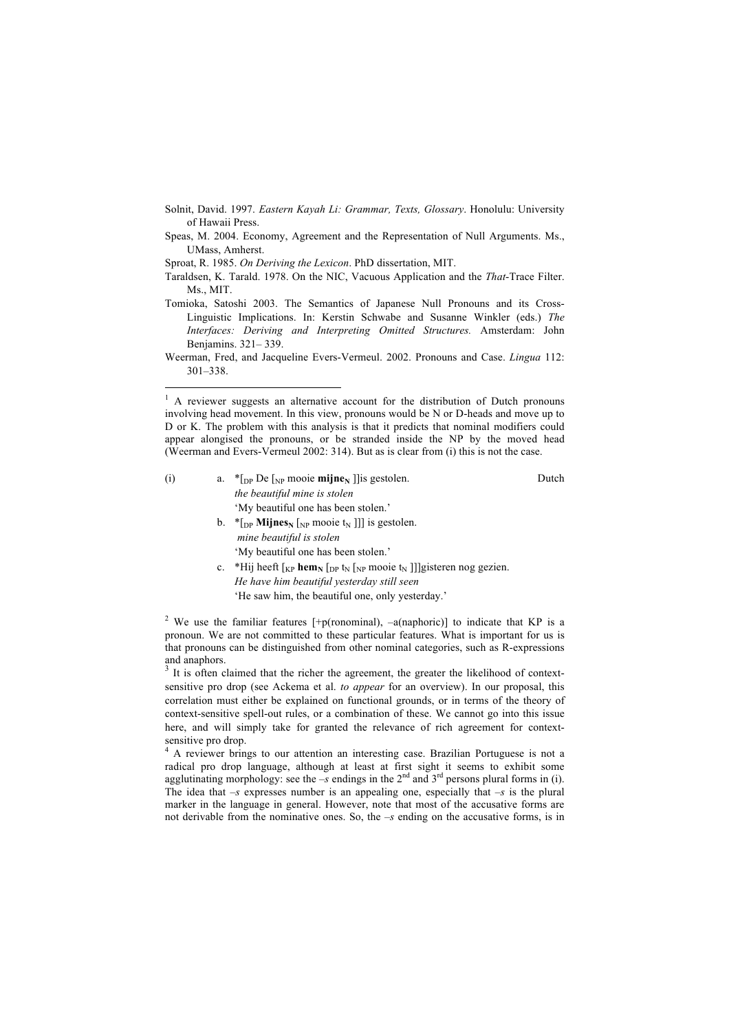Solnit, David. 1997. *Eastern Kayah Li: Grammar, Texts, Glossary*. Honolulu: University of Hawaii Press.

Tomioka, Satoshi 2003. The Semantics of Japanese Null Pronouns and its Cross-Linguistic Implications. In: Kerstin Schwabe and Susanne Winkler (eds.) *The Interfaces: Deriving and Interpreting Omitted Structures.* Amsterdam: John Benjamins. 321– 339.

| (i) | a. $\binom{1}{\text{DP}}$ De $\binom{1}{\text{NP}}$ mooie <b>mijne</b> <sub>N</sub> $\binom{1}{\text{P}}$ gestolen. | Dutch |
|-----|---------------------------------------------------------------------------------------------------------------------|-------|
|     | the beautiful mine is stolen                                                                                        |       |
|     | 'My beautiful one has been stolen.'                                                                                 |       |
|     | b. $\mathcal{F}_{\text{DP}}$ Mijnes <sub>N</sub> [ <sub>NP</sub> mooie t <sub>N</sub> ]]] is gestolen.              |       |
|     | mine beautiful is stolen                                                                                            |       |
|     | 'My beautiful one has been stolen.'                                                                                 |       |

c. \*Hij heeft  $\left[\kappa_{\text{F}}\right]$  **hem**<sub>N</sub>  $\left[\kappa_{\text{F}}\right]$   $\left[\kappa_{\text{F}}\right]$  mooie  $\left[\kappa_{\text{N}}\right]$   $\left[\kappa_{\text{F}}\right]$  ligisteren nog gezien. *He have him beautiful yesterday still seen*

'He saw him, the beautiful one, only yesterday.'

<sup>2</sup> We use the familiar features  $[+p$ (ronominal),  $-a$ (naphoric)] to indicate that KP is a pronoun. We are not committed to these particular features. What is important for us is that pronouns can be distinguished from other nominal categories, such as R-expressions and anaphors.<br> $3$  It is often claimed that the richer the agreement, the greater the likelihood of context-

sensitive pro drop (see Ackema et al. *to appear* for an overview). In our proposal, this correlation must either be explained on functional grounds, or in terms of the theory of context-sensitive spell-out rules, or a combination of these. We cannot go into this issue here, and will simply take for granted the relevance of rich agreement for contextsensitive pro drop.

<sup>4</sup> A reviewer brings to our attention an interesting case. Brazilian Portuguese is not a radical pro drop language, although at least at first sight it seems to exhibit some agglutinating morphology: see the  $-s$  endings in the  $2<sup>nd</sup>$  and  $3<sup>rd</sup>$  persons plural forms in (i). The idea that  $-s$  expresses number is an appealing one, especially that  $-s$  is the plural marker in the language in general. However, note that most of the accusative forms are not derivable from the nominative ones. So, the  $-s$  ending on the accusative forms, is in

Speas, M. 2004. Economy, Agreement and the Representation of Null Arguments. Ms., UMass, Amherst.

Sproat, R. 1985. *On Deriving the Lexicon*. PhD dissertation, MIT.

Taraldsen, K. Tarald. 1978. On the NIC, Vacuous Application and the *That*-Trace Filter. Ms., MIT.

Weerman, Fred, and Jacqueline Evers-Vermeul. 2002. Pronouns and Case. *Lingua* 112: 301–338.

<sup>&</sup>lt;sup>1</sup> A reviewer suggests an alternative account for the distribution of Dutch pronouns involving head movement. In this view, pronouns would be N or D-heads and move up to D or K. The problem with this analysis is that it predicts that nominal modifiers could appear alongised the pronouns, or be stranded inside the NP by the moved head (Weerman and Evers-Vermeul 2002: 314). But as is clear from (i) this is not the case.